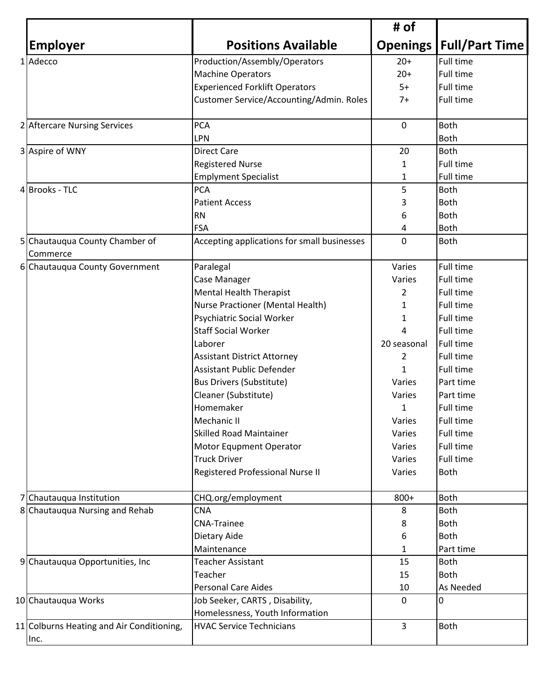|                                               |                                                                   | # of           |                                  |
|-----------------------------------------------|-------------------------------------------------------------------|----------------|----------------------------------|
| <b>Employer</b>                               | <b>Positions Available</b>                                        |                | <b>Openings   Full/Part Time</b> |
| 1 Adecco                                      | Production/Assembly/Operators                                     | $20+$          | <b>Full time</b>                 |
|                                               | <b>Machine Operators</b>                                          | $20+$          | Full time                        |
|                                               | <b>Experienced Forklift Operators</b>                             | $5+$           | Full time                        |
|                                               | Customer Service/Accounting/Admin. Roles                          | $7+$           | <b>Full time</b>                 |
| 2 Aftercare Nursing Services                  | <b>PCA</b>                                                        | $\mathbf 0$    | <b>Both</b>                      |
|                                               | LPN                                                               |                | <b>Both</b>                      |
| 3 Aspire of WNY                               | <b>Direct Care</b>                                                | 20             | Both                             |
|                                               | <b>Registered Nurse</b>                                           | 1              | Full time                        |
|                                               | <b>Emplyment Specialist</b>                                       | 1              | <b>Full time</b>                 |
| <b>Brooks - TLC</b><br>4                      | <b>PCA</b>                                                        | 5              | <b>Both</b>                      |
|                                               | <b>Patient Access</b>                                             | 3              | <b>Both</b>                      |
|                                               | <b>RN</b>                                                         | 6              | <b>Both</b>                      |
|                                               | <b>FSA</b>                                                        | 4              | <b>Both</b>                      |
| Chautauqua County Chamber of<br>5<br>Commerce | Accepting applications for small businesses                       | 0              | <b>Both</b>                      |
| 6 Chautauqua County Government                | Paralegal                                                         | Varies         | <b>Full time</b>                 |
|                                               | Case Manager                                                      | Varies         | <b>Full time</b>                 |
|                                               | <b>Mental Health Therapist</b>                                    | $\overline{2}$ | <b>Full time</b>                 |
|                                               | Nurse Practioner (Mental Health)                                  | 1              | <b>Full time</b>                 |
|                                               | Psychiatric Social Worker                                         | 1              | <b>Full time</b>                 |
|                                               | <b>Staff Social Worker</b>                                        | 4              | <b>Full time</b>                 |
|                                               | Laborer                                                           | 20 seasonal    | <b>Full time</b>                 |
|                                               | <b>Assistant District Attorney</b>                                | 2              | <b>Full time</b>                 |
|                                               | <b>Assistant Public Defender</b>                                  | $\mathbf{1}$   | Full time                        |
|                                               | <b>Bus Drivers (Substitute)</b>                                   | Varies         | Part time                        |
|                                               | Cleaner (Substitute)                                              | Varies         | Part time                        |
|                                               | Homemaker                                                         | 1              | Full time                        |
|                                               | Mechanic II                                                       | Varies         | <b>Full time</b>                 |
|                                               | <b>Skilled Road Maintainer</b>                                    | Varies         | <b>Full time</b>                 |
|                                               | Motor Equpment Operator                                           | Varies         | Full time                        |
|                                               | <b>Truck Driver</b>                                               | Varies         | <b>Full time</b>                 |
|                                               | Registered Professional Nurse II                                  | Varies         | <b>Both</b>                      |
| Chautauqua Institution                        | CHQ.org/employment                                                | 800+           | Both                             |
| 8 Chautauqua Nursing and Rehab                | <b>CNA</b>                                                        | 8              | Both                             |
|                                               | <b>CNA-Trainee</b>                                                | 8              | <b>Both</b>                      |
|                                               | Dietary Aide                                                      | 6              | <b>Both</b>                      |
|                                               | Maintenance                                                       | 1              | Part time                        |
| 9 Chautauqua Opportunities, Inc.              | <b>Teacher Assistant</b>                                          | 15             | <b>Both</b>                      |
|                                               | Teacher                                                           | 15             | Both                             |
|                                               | <b>Personal Care Aides</b>                                        | 10             | As Needed                        |
| 10 Chautauqua Works                           | Job Seeker, CARTS, Disability,<br>Homelessness, Youth Information | $\mathbf{0}$   | 0                                |
| 11 Colburns Heating and Air Conditioning,     | <b>HVAC Service Technicians</b>                                   | 3              | <b>Both</b>                      |
| Inc.                                          |                                                                   |                |                                  |
|                                               |                                                                   |                |                                  |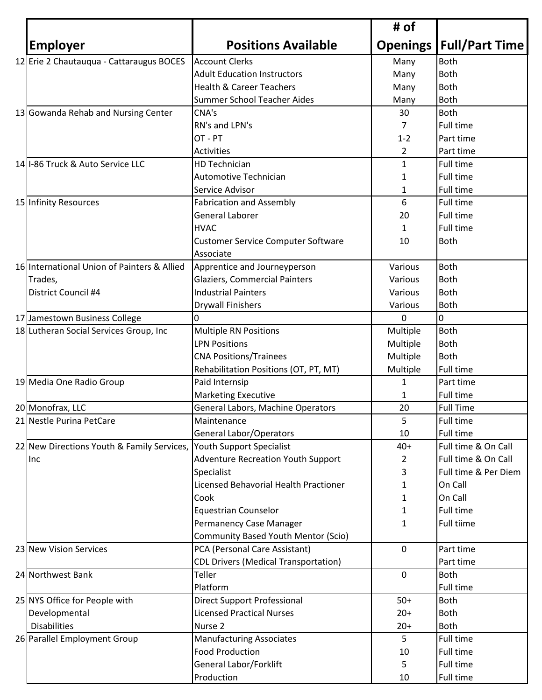|                                             |                                             | # of            |                       |
|---------------------------------------------|---------------------------------------------|-----------------|-----------------------|
| <b>Employer</b>                             | <b>Positions Available</b>                  | <b>Openings</b> | <b>Full/Part Time</b> |
| 12 Erie 2 Chautauqua - Cattaraugus BOCES    | <b>Account Clerks</b>                       | Many            | <b>Both</b>           |
|                                             | <b>Adult Education Instructors</b>          | Many            | Both                  |
|                                             | <b>Health &amp; Career Teachers</b>         | Many            | <b>Both</b>           |
|                                             | Summer School Teacher Aides                 | Many            | <b>Both</b>           |
| 13 Gowanda Rehab and Nursing Center         | CNA's                                       | 30              | Both                  |
|                                             | RN's and LPN's                              | 7               | <b>Full time</b>      |
|                                             | OT - PT                                     | $1 - 2$         | Part time             |
|                                             | Activities                                  | 2               | Part time             |
| 14 I-86 Truck & Auto Service LLC            | <b>HD Technician</b>                        | $\mathbf{1}$    | Full time             |
|                                             | <b>Automotive Technician</b>                | 1               | Full time             |
|                                             | Service Advisor                             | 1               | <b>Full time</b>      |
| 15 Infinity Resources                       | <b>Fabrication and Assembly</b>             | 6               | <b>Full time</b>      |
|                                             | General Laborer                             | 20              | <b>Full time</b>      |
|                                             | <b>HVAC</b>                                 | 1               | <b>Full time</b>      |
|                                             | Customer Service Computer Software          | 10              | <b>Both</b>           |
|                                             | Associate                                   |                 |                       |
| 16 International Union of Painters & Allied | Apprentice and Journeyperson                | Various         | Both                  |
| Trades,                                     | <b>Glaziers, Commercial Painters</b>        | Various         | Both                  |
| District Council #4                         | <b>Industrial Painters</b>                  | Various         | <b>Both</b>           |
|                                             | <b>Drywall Finishers</b>                    | Various         | Both                  |
| 17 Jamestown Business College               | 0                                           | $\Omega$        | 0                     |
| 18 Lutheran Social Services Group, Inc      | <b>Multiple RN Positions</b>                | Multiple        | Both                  |
|                                             | <b>LPN Positions</b>                        | Multiple        | <b>Both</b>           |
|                                             | <b>CNA Positions/Trainees</b>               | Multiple        | Both                  |
|                                             | Rehabilitation Positions (OT, PT, MT)       | Multiple        | Full time             |
| 19 Media One Radio Group                    | Paid Internsip                              | 1               | Part time             |
|                                             | <b>Marketing Executive</b>                  | 1               | Full time             |
| 20 Monofrax, LLC                            | General Labors, Machine Operators           | 20              | <b>Full Time</b>      |
| 21 Nestle Purina PetCare                    | Maintenance                                 | 5               | Full time             |
|                                             | <b>General Labor/Operators</b>              | 10              | Full time             |
| 22 New Directions Youth & Family Services,  | Youth Support Specialist                    | $40+$           | Full time & On Call   |
| Inc                                         | <b>Adventure Recreation Youth Support</b>   | 2               | Full time & On Call   |
|                                             | Specialist                                  | 3               | Full time & Per Diem  |
|                                             | Licensed Behavorial Health Practioner       | 1               | On Call               |
|                                             | Cook                                        | 1               | On Call               |
|                                             | <b>Equestrian Counselor</b>                 | 1               | Full time             |
|                                             | Permanency Case Manager                     | 1               | <b>Full tiime</b>     |
|                                             | <b>Community Based Youth Mentor (Scio)</b>  |                 |                       |
| 23 New Vision Services                      | PCA (Personal Care Assistant)               | 0               | Part time             |
|                                             | <b>CDL Drivers (Medical Transportation)</b> |                 | Part time             |
| 24 Northwest Bank                           | Teller                                      | $\mathbf 0$     | Both                  |
|                                             | Platform                                    |                 | <b>Full time</b>      |
| 25 NYS Office for People with               | <b>Direct Support Professional</b>          | $50+$           | Both                  |
|                                             |                                             |                 |                       |
| Developmental                               | <b>Licensed Practical Nurses</b>            | $20+$           | Both                  |
| <b>Disabilities</b>                         | Nurse 2                                     | $20+$           | <b>Both</b>           |
| 26 Parallel Employment Group                | <b>Manufacturing Associates</b>             | 5               | Full time             |
|                                             | <b>Food Production</b>                      | 10              | Full time             |
|                                             | General Labor/Forklift                      | 5               | Full time             |
|                                             | Production                                  | 10              | Full time             |